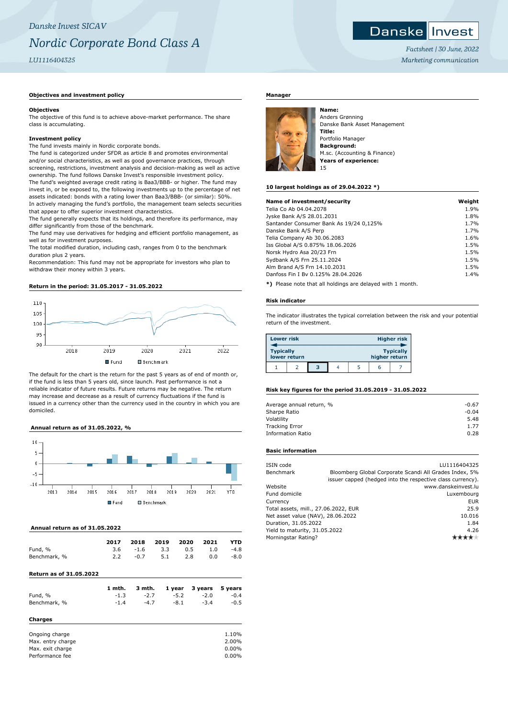# **Objectives and investment policy**

#### **Objectives**

The objective of this fund is to achieve above-market performance. The share class is accumulating.

#### **Investment policy**

The fund invests mainly in Nordic corporate bonds.

The fund is categorized under SFDR as article 8 and promotes environmental and/or social characteristics, as well as good governance practices, through screening, restrictions, investment analysis and decision-making as well as active ownership. The fund follows Danske Invest's responsible investment policy. The fund's weighted average credit rating is Baa3/BBB- or higher. The fund may invest in, or be exposed to, the following investments up to the percentage of net assets indicated: bonds with a rating lower than Baa3/BBB- (or similar): 50%. In actively managing the fund's portfolio, the management team selects securities that appear to offer superior investment characteristics.

The fund generally expects that its holdings, and therefore its performance, may differ significantly from those of the benchmark.

The fund may use derivatives for hedging and efficient portfolio management, as well as for investment purposes.

The total modified duration, including cash, ranges from 0 to the benchmark duration plus 2 years.

Recommendation: This fund may not be appropriate for investors who plan to withdraw their money within 3 years.

# **Return in the period: 31.05.2017 - 31.05.2022**



The default for the chart is the return for the past 5 years as of end of month or, if the fund is less than 5 years old, since launch. Past performance is not a reliable indicator of future results. Future returns may be negative. The return may increase and decrease as a result of currency fluctuations if the fund is issued in a currency other than the currency used in the country in which you are domiciled.

# **Annual return as of 31.05.2022, %**



#### **Annual return as of 31.05.2022**

|              | 2017 | 2018       | 2019 2020 2021 |     |     | <b>YTD</b> |
|--------------|------|------------|----------------|-----|-----|------------|
| Fund, %      |      | $3.6 -1.6$ | 3.3            | 0.5 | 1.0 | $-4.8$     |
| Benchmark, % |      | $-0.7$     | 5.1            | 2.8 | 0.0 | $-8.0$     |

# **Return as of 31.05.2022**

|              | 1 mth. | 3 mth. |        | 1 year 3 years 5 years |        |
|--------------|--------|--------|--------|------------------------|--------|
| Fund, %      | $-1.3$ | $-2.7$ | $-5.2$ | $-2.0$                 | $-0.4$ |
| Benchmark, % | $-1.4$ | $-4.7$ | $-8.1$ | $-3.4$                 | $-0.5$ |
| Charges      |        |        |        |                        |        |
|              |        |        |        |                        | .      |

| Ongoing charge    | 1.10%    |
|-------------------|----------|
| Max, entry charge | 2.00%    |
| Max. exit charge  | $0.00\%$ |
| Performance fee   | $0.00\%$ |
|                   |          |

# **Manager**



Anders Grønning Danske Bank Asset Management **Title:** Portfolio Manager **Background:** M.sc. (Accounting & Finance) **Years of experience:** 15

#### **10 largest holdings as of 29.04.2022 \*)**

| Name of investment/security             | Weight |
|-----------------------------------------|--------|
| Telia Co Ab 04.04.2078                  | 1.9%   |
| Jyske Bank A/S 28.01.2031               | 1.8%   |
| Santander Consumer Bank As 19/24 0,125% | 1.7%   |
| Danske Bank A/S Perp                    | 1.7%   |
| Telia Company Ab 30.06.2083             | 1.6%   |
| Iss Global A/S 0.875% 18.06.2026        | 1.5%   |
| Norsk Hydro Asa 20/23 Frn               | 1.5%   |
| Sydbank A/S Frn 25.11.2024              | 1.5%   |
| Alm Brand A/S Frn 14.10.2031            | 1.5%   |
| Danfoss Fin I By 0.125% 28.04.2026      | 1.4%   |
|                                         |        |

**\*)** Please note that all holdings are delayed with 1 month.

#### **Risk indicator**

The indicator illustrates the typical correlation between the risk and your potential return of the investment.

| <b>Lower risk</b> |              |   |  |               | <b>Higher risk</b> |
|-------------------|--------------|---|--|---------------|--------------------|
| <b>Typically</b>  | lower return |   |  | higher return | <b>Typically</b>   |
|                   |              | з |  | h             |                    |

#### **Risk key figures for the period 31.05.2019 - 31.05.2022**

| Average annual return, % | $-0.67$ |
|--------------------------|---------|
| Sharpe Ratio             | $-0.04$ |
| Volatility               | 5.48    |
| <b>Tracking Error</b>    | 1.77    |
| <b>Information Ratio</b> | 0.28    |
|                          |         |

# **Basic information**

| ISIN code                            |        | LU1116404325                                               |
|--------------------------------------|--------|------------------------------------------------------------|
| Benchmark                            |        | Bloomberg Global Corporate Scandi All Grades Index, 5%     |
|                                      |        | issuer capped (hedged into the respective class currency). |
| Website                              |        | www.danskeinvest.lu                                        |
| Fund domicile                        |        | Luxembourg                                                 |
| Currency                             |        | <b>EUR</b>                                                 |
| Total assets, mill., 27.06.2022, EUR |        | 25.9                                                       |
| Net asset value (NAV), 28.06.2022    | 10.016 |                                                            |
| Duration, 31.05.2022                 | 1.84   |                                                            |
| Yield to maturity, 31.05.2022        | 4.26   |                                                            |
| Morningstar Rating?                  |        |                                                            |
|                                      |        |                                                            |



*Factsheet | 30 June, 2022 Marketing communication*